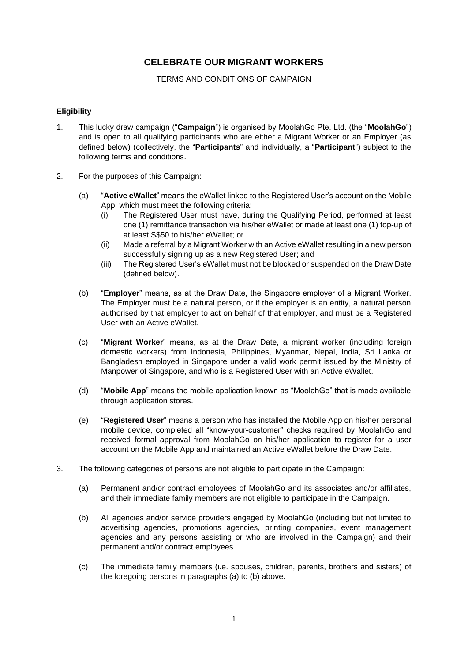# **CELEBRATE OUR MIGRANT WORKERS**

### TERMS AND CONDITIONS OF CAMPAIGN

### **Eligibility**

- 1. This lucky draw campaign ("**Campaign**") is organised by MoolahGo Pte. Ltd. (the "**MoolahGo**") and is open to all qualifying participants who are either a Migrant Worker or an Employer (as defined below) (collectively, the "**Participants**" and individually, a "**Participant**") subject to the following terms and conditions.
- 2. For the purposes of this Campaign:
	- (a) "**Active eWallet**" means the eWallet linked to the Registered User's account on the Mobile App, which must meet the following criteria:
		- (i) The Registered User must have, during the Qualifying Period, performed at least one (1) remittance transaction via his/her eWallet or made at least one (1) top-up of at least S\$50 to his/her eWallet; or
		- (ii) Made a referral by a Migrant Worker with an Active eWallet resulting in a new person successfully signing up as a new Registered User; and
		- (iii) The Registered User's eWallet must not be blocked or suspended on the Draw Date (defined below).
	- (b) "**Employer**" means, as at the Draw Date, the Singapore employer of a Migrant Worker. The Employer must be a natural person, or if the employer is an entity, a natural person authorised by that employer to act on behalf of that employer, and must be a Registered User with an Active eWallet.
	- (c) "**Migrant Worker**" means, as at the Draw Date, a migrant worker (including foreign domestic workers) from Indonesia, Philippines, Myanmar, Nepal, India, Sri Lanka or Bangladesh employed in Singapore under a valid work permit issued by the Ministry of Manpower of Singapore, and who is a Registered User with an Active eWallet.
	- (d) "**Mobile App**" means the mobile application known as "MoolahGo" that is made available through application stores.
	- (e) "**Registered User**" means a person who has installed the Mobile App on his/her personal mobile device, completed all "know-your-customer" checks required by MoolahGo and received formal approval from MoolahGo on his/her application to register for a user account on the Mobile App and maintained an Active eWallet before the Draw Date.
- 3. The following categories of persons are not eligible to participate in the Campaign:
	- (a) Permanent and/or contract employees of MoolahGo and its associates and/or affiliates, and their immediate family members are not eligible to participate in the Campaign.
	- (b) All agencies and/or service providers engaged by MoolahGo (including but not limited to advertising agencies, promotions agencies, printing companies, event management agencies and any persons assisting or who are involved in the Campaign) and their permanent and/or contract employees.
	- (c) The immediate family members (i.e. spouses, children, parents, brothers and sisters) of the foregoing persons in paragraphs (a) to (b) above.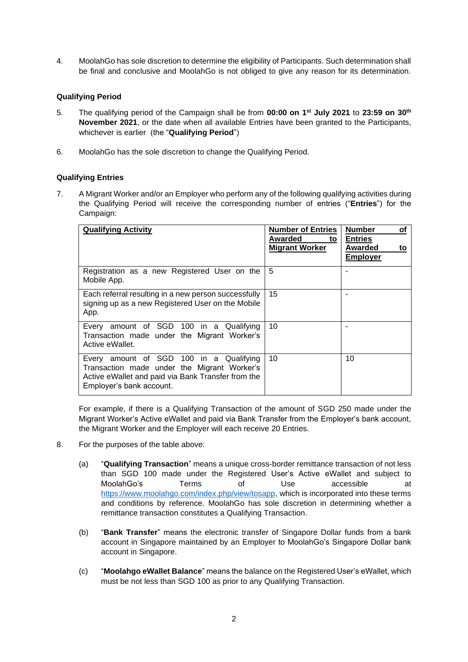4. MoolahGo has sole discretion to determine the eligibility of Participants. Such determination shall be final and conclusive and MoolahGo is not obliged to give any reason for its determination.

# **Qualifying Period**

- 5. The qualifying period of the Campaign shall be from **00:00 on 1 st July 2021** to **23:59 on 30th November 2021**, or the date when all available Entries have been granted to the Participants, whichever is earlier (the "**Qualifying Period**")
- 6. MoolahGo has the sole discretion to change the Qualifying Period.

# **Qualifying Entries**

7. A Migrant Worker and/or an Employer who perform any of the following qualifying activities during the Qualifying Period will receive the corresponding number of entries ("**Entries**") for the Campaign:

| <b>Qualifying Activity</b>                                                                                                                                               | <b>Number of Entries</b><br>Awarded<br>to<br><b>Migrant Worker</b> | <b>Number</b><br>οf<br><b>Entries</b><br>Awarded<br>to<br><b>Employer</b> |
|--------------------------------------------------------------------------------------------------------------------------------------------------------------------------|--------------------------------------------------------------------|---------------------------------------------------------------------------|
| Registration as a new Registered User on the<br>Mobile App.                                                                                                              | 5                                                                  |                                                                           |
| Each referral resulting in a new person successfully<br>signing up as a new Registered User on the Mobile<br>App.                                                        | 15                                                                 |                                                                           |
| Every amount of SGD 100 in a Qualifying<br>Transaction made under the Migrant Worker's<br>Active eWallet.                                                                | 10                                                                 |                                                                           |
| Every amount of SGD 100 in a Qualifying<br>Transaction made under the Migrant Worker's<br>Active eWallet and paid via Bank Transfer from the<br>Employer's bank account. | 10                                                                 | 10                                                                        |

For example, if there is a Qualifying Transaction of the amount of SGD 250 made under the Migrant Worker's Active eWallet and paid via Bank Transfer from the Employer's bank account, the Migrant Worker and the Employer will each receive 20 Entries.

- 8. For the purposes of the table above:
	- (a) "**Qualifying Transaction**" means a unique cross-border remittance transaction of not less than SGD 100 made under the Registered User's Active eWallet and subject to MoolahGo's Terms of Use accessible at [https://www.moolahgo.com/index.php/view/tosapp,](https://www.moolahgo.com/index.php/view/tosapp) which is incorporated into these terms and conditions by reference. MoolahGo has sole discretion in determining whether a remittance transaction constitutes a Qualifying Transaction.
	- (b) "**Bank Transfer**" means the electronic transfer of Singapore Dollar funds from a bank account in Singapore maintained by an Employer to MoolahGo's Singapore Dollar bank account in Singapore.
	- (c) "**Moolahgo eWallet Balance**" means the balance on the Registered User's eWallet, which must be not less than SGD 100 as prior to any Qualifying Transaction.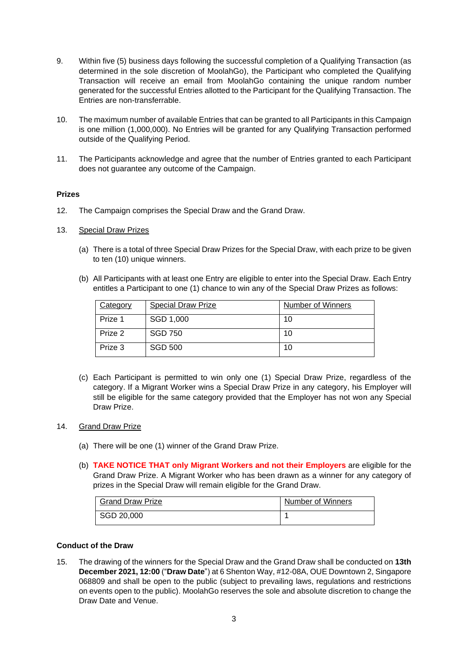- 9. Within five (5) business days following the successful completion of a Qualifying Transaction (as determined in the sole discretion of MoolahGo), the Participant who completed the Qualifying Transaction will receive an email from MoolahGo containing the unique random number generated for the successful Entries allotted to the Participant for the Qualifying Transaction. The Entries are non-transferrable.
- 10. The maximum number of available Entries that can be granted to all Participants in this Campaign is one million (1,000,000). No Entries will be granted for any Qualifying Transaction performed outside of the Qualifying Period.
- 11. The Participants acknowledge and agree that the number of Entries granted to each Participant does not guarantee any outcome of the Campaign.

### **Prizes**

- 12. The Campaign comprises the Special Draw and the Grand Draw.
- 13. Special Draw Prizes
	- (a) There is a total of three Special Draw Prizes for the Special Draw, with each prize to be given to ten (10) unique winners.
	- (b) All Participants with at least one Entry are eligible to enter into the Special Draw. Each Entry entitles a Participant to one (1) chance to win any of the Special Draw Prizes as follows:

| Category | <b>Special Draw Prize</b> | Number of Winners |
|----------|---------------------------|-------------------|
| Prize 1  | SGD 1,000                 | 10                |
| Prize 2  | SGD 750                   | 10                |
| Prize 3  | <b>SGD 500</b>            | 10                |

(c) Each Participant is permitted to win only one (1) Special Draw Prize, regardless of the category. If a Migrant Worker wins a Special Draw Prize in any category, his Employer will still be eligible for the same category provided that the Employer has not won any Special Draw Prize.

# 14. Grand Draw Prize

- (a) There will be one (1) winner of the Grand Draw Prize.
- (b) **TAKE NOTICE THAT only Migrant Workers and not their Employers** are eligible for the Grand Draw Prize. A Migrant Worker who has been drawn as a winner for any category of prizes in the Special Draw will remain eligible for the Grand Draw.

| <b>Grand Draw Prize</b> | Number of Winners |
|-------------------------|-------------------|
| SGD 20,000              |                   |

# **Conduct of the Draw**

15. The drawing of the winners for the Special Draw and the Grand Draw shall be conducted on **13th December 2021, 12:00** ("**Draw Date**") at 6 Shenton Way, #12-08A, OUE Downtown 2, Singapore 068809 and shall be open to the public (subject to prevailing laws, regulations and restrictions on events open to the public). MoolahGo reserves the sole and absolute discretion to change the Draw Date and Venue.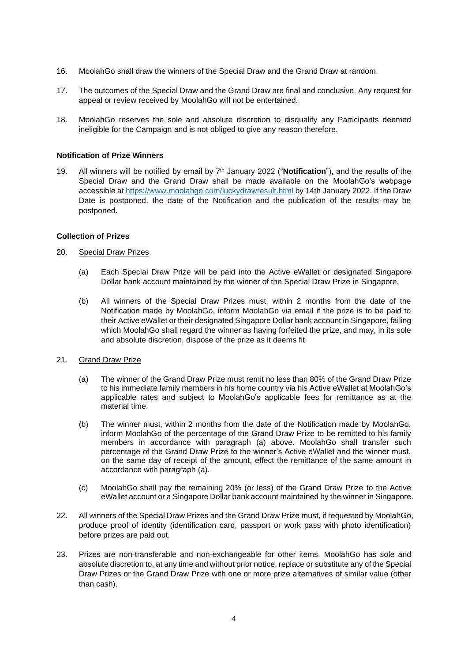- 16. MoolahGo shall draw the winners of the Special Draw and the Grand Draw at random.
- 17. The outcomes of the Special Draw and the Grand Draw are final and conclusive. Any request for appeal or review received by MoolahGo will not be entertained.
- 18. MoolahGo reserves the sole and absolute discretion to disqualify any Participants deemed ineligible for the Campaign and is not obliged to give any reason therefore.

#### **Notification of Prize Winners**

19. All winners will be notified by email by 7<sup>th</sup> January 2022 ("**Notification**"), and the results of the Special Draw and the Grand Draw shall be made available on the MoolahGo's webpage accessible at<https://www.moolahgo.com/luckydrawresult.html> by 14th January 2022. If the Draw Date is postponed, the date of the Notification and the publication of the results may be postponed.

#### **Collection of Prizes**

#### 20. Special Draw Prizes

- (a) Each Special Draw Prize will be paid into the Active eWallet or designated Singapore Dollar bank account maintained by the winner of the Special Draw Prize in Singapore.
- (b) All winners of the Special Draw Prizes must, within 2 months from the date of the Notification made by MoolahGo, inform MoolahGo via email if the prize is to be paid to their Active eWallet or their designated Singapore Dollar bank account in Singapore, failing which MoolahGo shall regard the winner as having forfeited the prize, and may, in its sole and absolute discretion, dispose of the prize as it deems fit.

#### 21. Grand Draw Prize

- (a) The winner of the Grand Draw Prize must remit no less than 80% of the Grand Draw Prize to his immediate family members in his home country via his Active eWallet at MoolahGo's applicable rates and subject to MoolahGo's applicable fees for remittance as at the material time.
- (b) The winner must, within 2 months from the date of the Notification made by MoolahGo, inform MoolahGo of the percentage of the Grand Draw Prize to be remitted to his family members in accordance with paragraph (a) above. MoolahGo shall transfer such percentage of the Grand Draw Prize to the winner's Active eWallet and the winner must, on the same day of receipt of the amount, effect the remittance of the same amount in accordance with paragraph (a).
- (c) MoolahGo shall pay the remaining 20% (or less) of the Grand Draw Prize to the Active eWallet account or a Singapore Dollar bank account maintained by the winner in Singapore.
- 22. All winners of the Special Draw Prizes and the Grand Draw Prize must, if requested by MoolahGo, produce proof of identity (identification card, passport or work pass with photo identification) before prizes are paid out.
- 23. Prizes are non-transferable and non-exchangeable for other items. MoolahGo has sole and absolute discretion to, at any time and without prior notice, replace or substitute any of the Special Draw Prizes or the Grand Draw Prize with one or more prize alternatives of similar value (other than cash).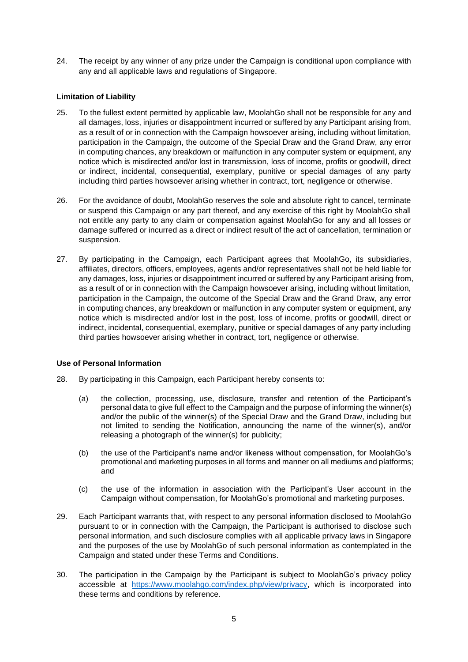24. The receipt by any winner of any prize under the Campaign is conditional upon compliance with any and all applicable laws and regulations of Singapore.

### **Limitation of Liability**

- 25. To the fullest extent permitted by applicable law, MoolahGo shall not be responsible for any and all damages, loss, injuries or disappointment incurred or suffered by any Participant arising from, as a result of or in connection with the Campaign howsoever arising, including without limitation, participation in the Campaign, the outcome of the Special Draw and the Grand Draw, any error in computing chances, any breakdown or malfunction in any computer system or equipment, any notice which is misdirected and/or lost in transmission, loss of income, profits or goodwill, direct or indirect, incidental, consequential, exemplary, punitive or special damages of any party including third parties howsoever arising whether in contract, tort, negligence or otherwise.
- 26. For the avoidance of doubt, MoolahGo reserves the sole and absolute right to cancel, terminate or suspend this Campaign or any part thereof, and any exercise of this right by MoolahGo shall not entitle any party to any claim or compensation against MoolahGo for any and all losses or damage suffered or incurred as a direct or indirect result of the act of cancellation, termination or suspension.
- 27. By participating in the Campaign, each Participant agrees that MoolahGo, its subsidiaries, affiliates, directors, officers, employees, agents and/or representatives shall not be held liable for any damages, loss, injuries or disappointment incurred or suffered by any Participant arising from, as a result of or in connection with the Campaign howsoever arising, including without limitation, participation in the Campaign, the outcome of the Special Draw and the Grand Draw, any error in computing chances, any breakdown or malfunction in any computer system or equipment, any notice which is misdirected and/or lost in the post, loss of income, profits or goodwill, direct or indirect, incidental, consequential, exemplary, punitive or special damages of any party including third parties howsoever arising whether in contract, tort, negligence or otherwise.

#### **Use of Personal Information**

- 28. By participating in this Campaign, each Participant hereby consents to:
	- (a) the collection, processing, use, disclosure, transfer and retention of the Participant's personal data to give full effect to the Campaign and the purpose of informing the winner(s) and/or the public of the winner(s) of the Special Draw and the Grand Draw, including but not limited to sending the Notification, announcing the name of the winner(s), and/or releasing a photograph of the winner(s) for publicity;
	- (b) the use of the Participant's name and/or likeness without compensation, for MoolahGo's promotional and marketing purposes in all forms and manner on all mediums and platforms; and
	- (c) the use of the information in association with the Participant's User account in the Campaign without compensation, for MoolahGo's promotional and marketing purposes.
- 29. Each Participant warrants that, with respect to any personal information disclosed to MoolahGo pursuant to or in connection with the Campaign, the Participant is authorised to disclose such personal information, and such disclosure complies with all applicable privacy laws in Singapore and the purposes of the use by MoolahGo of such personal information as contemplated in the Campaign and stated under these Terms and Conditions.
- 30. The participation in the Campaign by the Participant is subject to MoolahGo's privacy policy accessible at [https://www.moolahgo.com/index.php/view/privacy,](https://www.moolahgo.com/index.php/view/privacy) which is incorporated into these terms and conditions by reference.